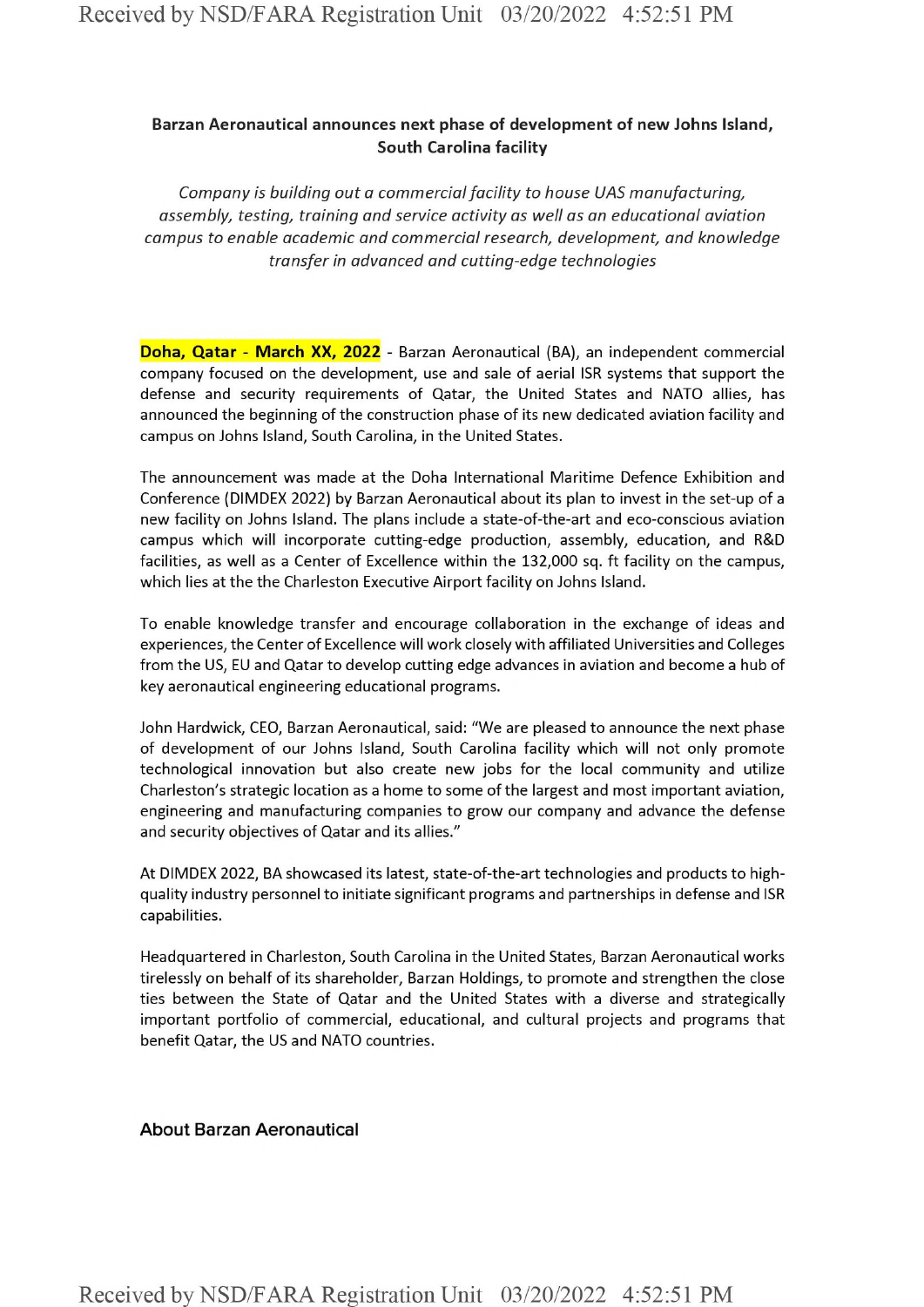## **Barzan Aeronautical announces next phase of development of new Johns Island, South Carolina facility**

*Company is building out a commercialfacility to house UAS manufacturing, assembly, testing, training and service activity as well as an educational aviation campus to enable academic and commercial research, development, and knowledge transfer in advanced and cutting-edge technologies*

**Doha, Qatar - March XX, 2022** - Barzan Aeronautical (BA), an independent commercial company focused on the development, use and sale of aerial ISR systems that support the defense and security requirements of Qatar, the United States and NATO allies, has announced the beginning of the construction phase of its new dedicated aviation facility and campus on Johns Island, South Carolina, in the United States.

The announcement was made at the Doha International Maritime Defence Exhibition and Conference (DIMDEX 2022) by Barzan Aeronautical about its plan to invest in the set-up of <sup>a</sup> new facility on Johns Island. The plans include a state-of-the-art and eco-conscious aviation campus which will incorporate cutting-edge production, assembly, education, and R&D facilities, as well as <sup>a</sup> Center of Excellence within the 132,000 sq. ft facility on the campus, which lies at the the Charleston Executive Airport facility on Johns Island.

To enable knowledge transfer and encourage collaboration in the exchange of ideas and experiences, the Center of Excellence will work closely with affiliated Universities and Colleges from the US, EU and Qatar to develop cutting edge advances in aviation and become a hub of key aeronautical engineering educational programs.

John Hardwick, CEO, Barzan Aeronautical, said: "We are pleased to announce the next phase of development of our Johns Island, South Carolina facility which will not only promote technological innovation but also create new jobs for the local community and utilize Charleston's strategic location as <sup>a</sup> home to some ofthe largest and most important aviation, engineering and manufacturing companies to grow our company and advance the defense and security objectives of Qatar and its allies."

At DIMDEX 2022, BA showcased its latest, state-of-the-art technologies and products to highquality industry personnel to initiate significant programs and partnerships in defense and ISR capabilities.

Headquartered in Charleston, South Carolina in the United States, Barzan Aeronautical works tirelessly on behalf of its shareholder, Barzan Holdings, to promote and strengthen the close ties between the State of Qatar and the United States with a diverse and strategically important portfolio of commercial, educational, and cultural projects and programs that benefit Qatar, the US and NATO countries.

## About Barzan Aeronautical